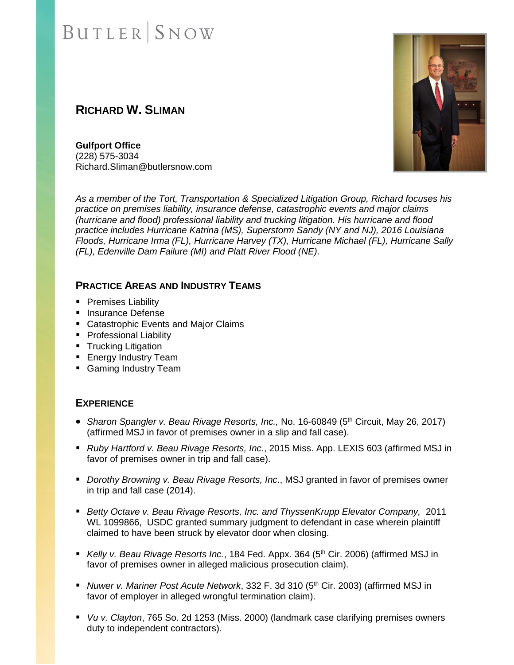# **BUTLER** SNOW

## **RICHARD W. SLIMAN**

**Gulfport Office** (228) 575-3034 Richard.Sliman@butlersnow.com

*As a member of the Tort, Transportation & Specialized Litigation Group, Richard focuses his practice on premises liability, insurance defense, catastrophic events and major claims (hurricane and flood) professional liability and trucking litigation. His hurricane and flood practice includes Hurricane Katrina (MS), Superstorm Sandy (NY and NJ), 2016 Louisiana Floods, Hurricane Irma (FL), Hurricane Harvey (TX), Hurricane Michael (FL), Hurricane Sally (FL), Edenville Dam Failure (MI) and Platt River Flood (NE).*

### **PRACTICE AREAS AND INDUSTRY TEAMS**

- Premises Liability
- **E** Insurance Defense
- Catastrophic Events and Major Claims
- Professional Liability
- Trucking Litigation
- Energy Industry Team
- Gaming Industry Team

#### **EXPERIENCE**

- *Sharon Spangler v. Beau Rivage Resorts, Inc., No.* 16-60849 (5<sup>th</sup> Circuit, May 26, 2017) (affirmed MSJ in favor of premises owner in a slip and fall case).
- *Ruby Hartford v. Beau Rivage Resorts, Inc.*, 2015 Miss. App. LEXIS 603 (affirmed MSJ in favor of premises owner in trip and fall case).
- *Dorothy Browning v. Beau Rivage Resorts, Inc.*, MSJ granted in favor of premises owner in trip and fall case (2014).
- *Betty Octave v. Beau Rivage Resorts, Inc. and ThyssenKrupp Elevator Company,* 2011 WL 1099866, USDC granted summary judgment to defendant in case wherein plaintiff claimed to have been struck by elevator door when closing.
- *Kelly v. Beau Rivage Resorts Inc.*, 184 Fed. Appx. 364 (5<sup>th</sup> Cir. 2006) (affirmed MSJ in favor of premises owner in alleged malicious prosecution claim).
- *Nuwer v. Mariner Post Acute Network*, 332 F. 3d 310 (5<sup>th</sup> Cir. 2003) (affirmed MSJ in favor of employer in alleged wrongful termination claim).
- *Vu v. Clayton*, 765 So. 2d 1253 (Miss. 2000) (landmark case clarifying premises owners duty to independent contractors).

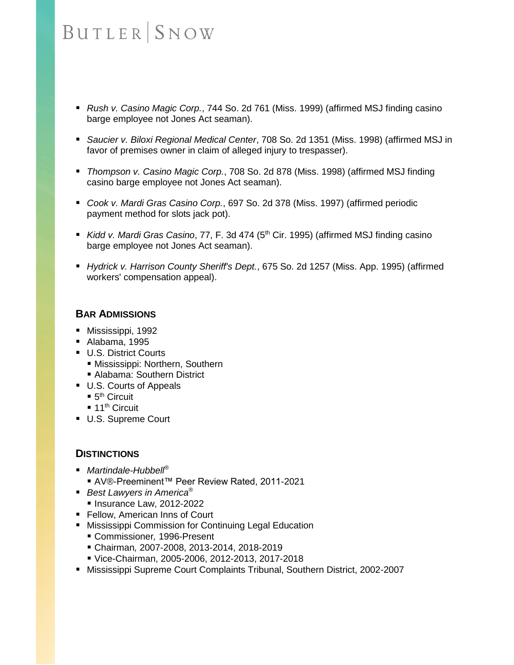# **BUTLER** SNOW

- *Rush v. Casino Magic Corp.*, 744 So. 2d 761 (Miss. 1999) (affirmed MSJ finding casino barge employee not Jones Act seaman).
- *Saucier v. Biloxi Regional Medical Center*, 708 So. 2d 1351 (Miss. 1998) (affirmed MSJ in favor of premises owner in claim of alleged injury to trespasser).
- *Thompson v. Casino Magic Corp.*, 708 So. 2d 878 (Miss. 1998) (affirmed MSJ finding casino barge employee not Jones Act seaman).
- *Cook v. Mardi Gras Casino Corp.*, 697 So. 2d 378 (Miss. 1997) (affirmed periodic payment method for slots jack pot).
- *Kidd v. Mardi Gras Casino*, 77, F. 3d 474 (5<sup>th</sup> Cir. 1995) (affirmed MSJ finding casino barge employee not Jones Act seaman).
- *Hydrick v. Harrison County Sheriff's Dept.*, 675 So. 2d 1257 (Miss. App. 1995) (affirmed workers' compensation appeal).

#### **BAR ADMISSIONS**

- Mississippi, 1992
- Alabama, 1995
- U.S. District Courts
	- **E** Mississippi: Northern, Southern ■ Alabama: Southern District
- U.S. Courts of Appeals
	- $\blacksquare$  5<sup>th</sup> Circuit
	- $\blacksquare$  11<sup>th</sup> Circuit
- U.S. Supreme Court

### **DISTINCTIONS**

- *Martindale-Hubbell<sup>®</sup>* 
	- AV®-Preeminent™ Peer Review Rated, 2011-2021
- *Best Lawyers in America<sup>®</sup>* 
	- Insurance Law, 2012-2022
- Fellow, American Inns of Court
- Mississippi Commission for Continuing Legal Education
	- Commissioner*,* 1996-Present
	- Chairman*,* 2007-2008, 2013-2014, 2018-2019
	- Vice-Chairman, 2005-2006, 2012-2013, 2017-2018
- Mississippi Supreme Court Complaints Tribunal, Southern District, 2002-2007